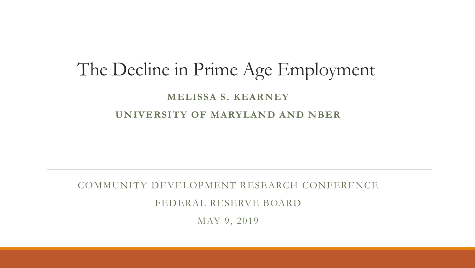### The Decline in Prime Age Employment  **MELISSA S. KEARNEY UNIVERSITY OF MARYLAND AND NBER**

#### COMMUNITY DEVELOPMENT RESEARCH CONFERENCE

FEDERAL RESERVE BOARD

MAY 9, 2019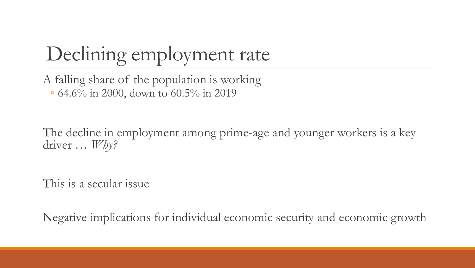# Declining employment rate

 A falling share of the population is working ◦ 64.6% in 2000, down to 60.5% in 2019

The decline in employment among prime-age and younger workers is a key driver … *Why?* 

This is a secular issue

Negative implications for individual economic security and economic growth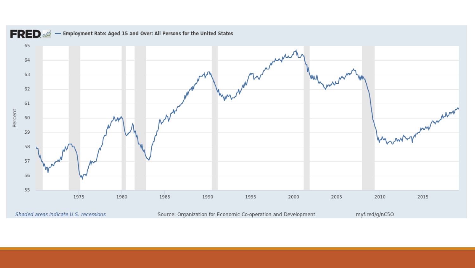

Shaded areas indicate U.S. recessions

Source: Organization for Economic Co-operation and Development

myf.red/g/nC5O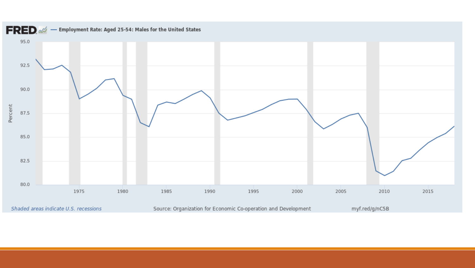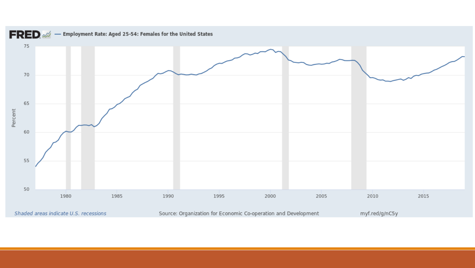

Shaded areas indicate U.S. recessions

Source: Organization for Economic Co-operation and Development

myf.red/g/nC5y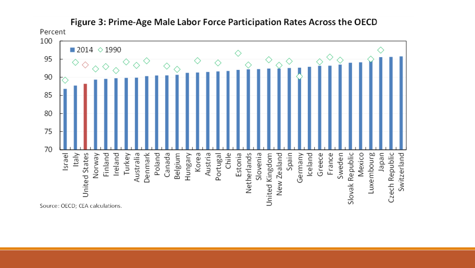

Figure 3: Prime-Age Male Labor Force Participation Rates Across the OECD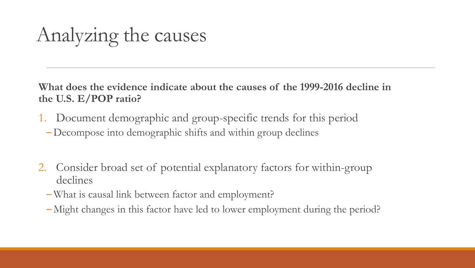## Analyzing the causes

**What does the evidence indicate about the causes of the 1999-2016 decline in the U.S. E/POP ratio?** 

- 1. Document demographic and group-specific trends for this period
	- ‒Decompose into demographic shifts and within group declines
- 2. Consider broad set of potential explanatory factors for within-group declines
	- ‒ What is causal link between factor and employment?
	- ‒ Might changes in this factor have led to lower employment during the period?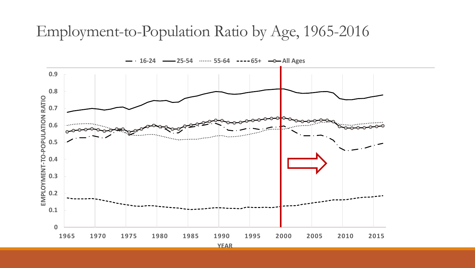### Employment-to-Population Ratio by Age, 1965-2016

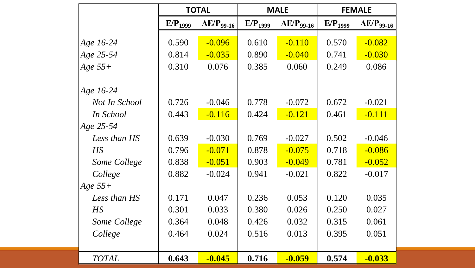|               | <b>TOTAL</b>        |                      | <b>MALE</b>         |                      | <b>FEMALE</b>       |                      |
|---------------|---------------------|----------------------|---------------------|----------------------|---------------------|----------------------|
|               | E/P <sub>1999</sub> | $\Delta E/P_{99-16}$ | E/P <sub>1999</sub> | $\Delta E/P_{99-16}$ | E/P <sub>1999</sub> | $\Delta E/P_{99-16}$ |
| Age 16-24     | 0.590               | $-0.096$             | 0.610               | $-0.110$             | 0.570               | $-0.082$             |
| Age 25-54     | 0.814               | $-0.035$             | 0.890               | $-0.040$             | 0.741               | $-0.030$             |
| Age $55+$     | 0.310               | 0.076                | 0.385               | 0.060                | 0.249               | 0.086                |
| Age 16-24     |                     |                      |                     |                      |                     |                      |
| Not In School | 0.726               | $-0.046$             | 0.778               | $-0.072$             | 0.672               | $-0.021$             |
| In School     | 0.443               | $-0.116$             | 0.424               | $-0.121$             | 0.461               | $-0.111$             |
| Age 25-54     |                     |                      |                     |                      |                     |                      |
| Less than HS  | 0.639               | $-0.030$             | 0.769               | $-0.027$             | 0.502               | $-0.046$             |
| HS            | 0.796               | $-0.071$             | 0.878               | $-0.075$             | 0.718               | $-0.086$             |
| Some College  | 0.838               | $-0.051$             | 0.903               | $-0.049$             | 0.781               | $-0.052$             |
| College       | 0.882               | $-0.024$             | 0.941               | $-0.021$             | 0.822               | $-0.017$             |
| Age $55+$     |                     |                      |                     |                      |                     |                      |
| Less than HS  | 0.171               | 0.047                | 0.236               | 0.053                | 0.120               | 0.035                |
| $H\!S$        | 0.301               | 0.033                | 0.380               | 0.026                | 0.250               | 0.027                |
| Some College  | 0.364               | 0.048                | 0.426               | 0.032                | 0.315               | 0.061                |
| College       | 0.464               | 0.024                | 0.516               | 0.013                | 0.395               | 0.051                |
|               |                     |                      |                     |                      |                     |                      |
| <b>TOTAL</b>  | 0.643               | $-0.045$             | 0.716               | $-0.059$             | 0.574               | $-0.033$             |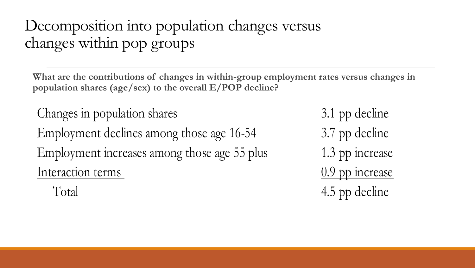### Decomposition into population changes versus changes within pop groups

**What are the contributions of changes in within-group employment rates versus changes in population shares (age/sex) to the overall E/POP decline?** 

Changes in population shares 3.1 pp decline Employment declines among those age 16-54 3.7 pp decline Employment increases among those age 55 plus 1.3 pp increase Interaction terms 0.9 pp increase

Total 4.5 pp decline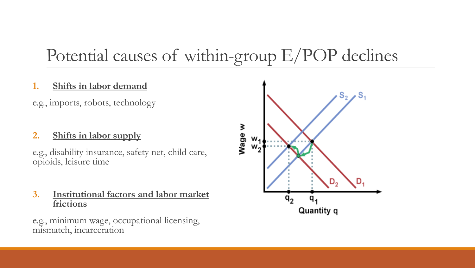### Potential causes of within-group E/POP declines

#### **1. Shifts in labor demand**

e.g., imports, robots, technology

#### **2. Shifts in labor supply**

 e.g., disability insurance, safety net, child care, opioids, leisure time

 **3. Institutional factors and labor market frictions** 

e.g., minimum wage, occupational licensing, mismatch, incarceration

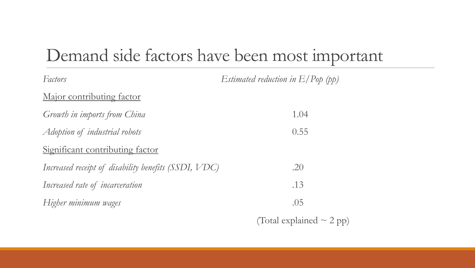### Demand side factors have been most important

| Factors                                              | Estimated reduction in $E/P$ op (pp) |
|------------------------------------------------------|--------------------------------------|
| <u>Major contributing factor</u>                     |                                      |
| Growth in imports from China                         | 1.04                                 |
| Adoption of industrial robots                        | 0.55                                 |
| Significant contributing factor                      |                                      |
| Increased receipt of disability benefits (SSDI, VDC) | .20                                  |
| Increased rate of incarceration                      | .13                                  |
| Higher minimum wages                                 | .05                                  |
|                                                      | (Total explained $\sim$ 2 pp)        |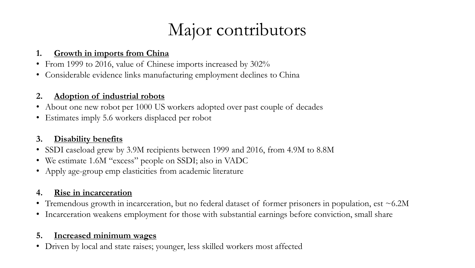### Major contributors

#### **1. Growth in imports from China**

- From 1999 to 2016, value of Chinese imports increased by 302%
- Considerable evidence links manufacturing employment declines to China

#### **2. Adoption of industrial robots**

- About one new robot per 1000 US workers adopted over past couple of decades
- Estimates imply 5.6 workers displaced per robot

#### **3. Disability benefits**

- SSDI caseload grew by 3.9M recipients between 1999 and 2016, from 4.9M to 8.8M
- We estimate 1.6M "excess" people on SSDI; also in VADC
- Apply age-group emp elasticities from academic literature

#### **4. Rise in incarceration**

- Tremendous growth in incarceration, but no federal dataset of former prisoners in population, est ~6.2M
- Incarceration weakens employment for those with substantial earnings before conviction, small share

#### **5. Increased minimum wages**

• Driven by local and state raises; younger, less skilled workers most affected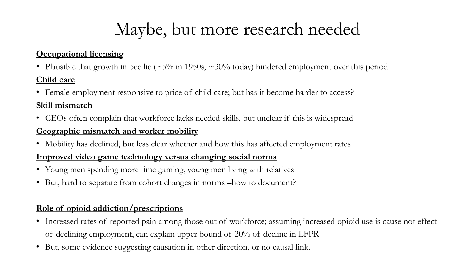### Maybe, but more research needed

#### **Occupational licensing**

• Plausible that growth in occ lic ( $\sim$  5% in 1950s,  $\sim$  30% today) hindered employment over this period

#### **Child care**

• Female employment responsive to price of child care; but has it become harder to access?

#### **Skill mismatch**

• CEOs often complain that workforce lacks needed skills, but unclear if this is widespread

#### **Geographic mismatch and worker mobility**

• Mobility has declined, but less clear whether and how this has affected employment rates

#### **Improved video game technology versus changing social norms**

- Young men spending more time gaming, young men living with relatives
- • But, hard to separate from cohort changes in norms –how to document?

#### **Role of opioid addiction/prescriptions**

- • Increased rates of reported pain among those out of workforce; assuming increased opioid use is cause not effect of declining employment, can explain upper bound of 20% of decline in LFPR
- • But, some evidence suggesting causation in other direction, or no causal link.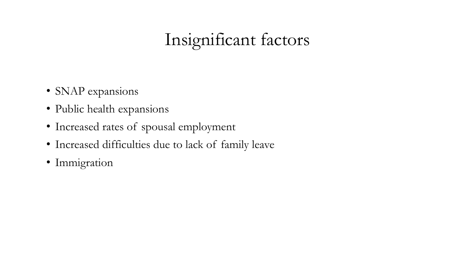## Insignificant factors

- SNAP expansions
- Public health expansions
- Increased rates of spousal employment
- Increased difficulties due to lack of family leave
- Immigration